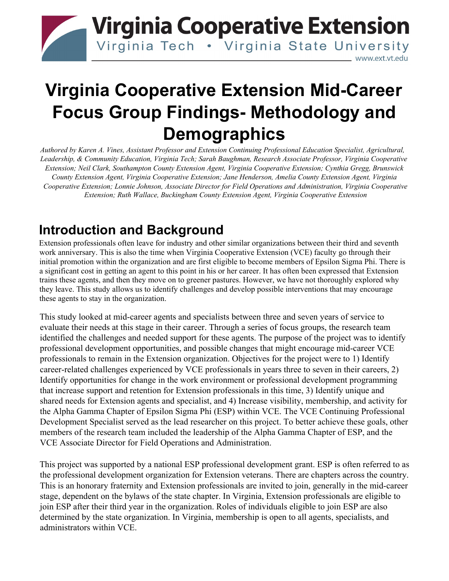# **Virginia Cooperative Extension** Virginia Tech . Virginia State University www.ext.vt.edu

# **Virginia Cooperative Extension Mid-Career Focus Group Findings- Methodology and Demographics**

*Authored by Karen A. Vines, Assistant Professor and Extension Continuing Professional Education Specialist, Agricultural, Leadership, & Community Education, Virginia Tech; Sarah Baughman, Research Associate Professor, Virginia Cooperative Extension; Neil Clark, Southampton County Extension Agent, Virginia Cooperative Extension; Cynthia Gregg, Brunswick County Extension Agent, Virginia Cooperative Extension; Jane Henderson, Amelia County Extension Agent, Virginia Cooperative Extension; Lonnie Johnson, Associate Director for Field Operations and Administration, Virginia Cooperative Extension; Ruth Wallace, Buckingham County Extension Agent, Virginia Cooperative Extension*

### **Introduction and Background**

Extension professionals often leave for industry and other similar organizations between their third and seventh work anniversary. This is also the time when Virginia Cooperative Extension (VCE) faculty go through their initial promotion within the organization and are first eligible to become members of Epsilon Sigma Phi. There is a significant cost in getting an agent to this point in his or her career. It has often been expressed that Extension trains these agents, and then they move on to greener pastures. However, we have not thoroughly explored why they leave. This study allows us to identify challenges and develop possible interventions that may encourage these agents to stay in the organization.

This study looked at mid-career agents and specialists between three and seven years of service to evaluate their needs at this stage in their career. Through a series of focus groups, the research team identified the challenges and needed support for these agents. The purpose of the project was to identify professional development opportunities, and possible changes that might encourage mid-career VCE professionals to remain in the Extension organization. Objectives for the project were to 1) Identify career-related challenges experienced by VCE professionals in years three to seven in their careers, 2) Identify opportunities for change in the work environment or professional development programming that increase support and retention for Extension professionals in this time, 3) Identify unique and shared needs for Extension agents and specialist, and 4) Increase visibility, membership, and activity for the Alpha Gamma Chapter of Epsilon Sigma Phi (ESP) within VCE. The VCE Continuing Professional Development Specialist served as the lead researcher on this project. To better achieve these goals, other members of the research team included the leadership of the Alpha Gamma Chapter of ESP, and the VCE Associate Director for Field Operations and Administration.

This project was supported by a national ESP professional development grant. ESP is often referred to as the professional development organization for Extension veterans. There are chapters across the country. This is an honorary fraternity and Extension professionals are invited to join, generally in the mid-career stage, dependent on the bylaws of the state chapter. In Virginia, Extension professionals are eligible to join ESP after their third year in the organization. Roles of individuals eligible to join ESP are also determined by the state organization. In Virginia, membership is open to all agents, specialists, and administrators within VCE.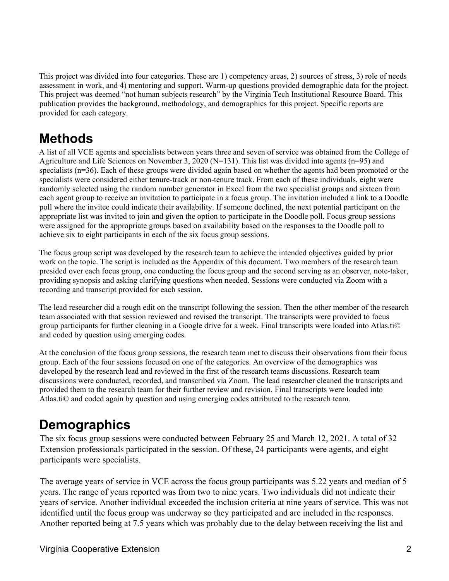This project was divided into four categories. These are 1) competency areas, 2) sources of stress, 3) role of needs assessment in work, and 4) mentoring and support. Warm-up questions provided demographic data for the project. This project was deemed "not human subjects research" by the Virginia Tech Institutional Resource Board. This publication provides the background, methodology, and demographics for this project. Specific reports are provided for each category.

### **Methods**

A list of all VCE agents and specialists between years three and seven of service was obtained from the College of Agriculture and Life Sciences on November 3, 2020 (N=131). This list was divided into agents (n=95) and specialists (n=36). Each of these groups were divided again based on whether the agents had been promoted or the specialists were considered either tenure-track or non-tenure track. From each of these individuals, eight were randomly selected using the random number generator in Excel from the two specialist groups and sixteen from each agent group to receive an invitation to participate in a focus group. The invitation included a link to a Doodle poll where the invitee could indicate their availability. If someone declined, the next potential participant on the appropriate list was invited to join and given the option to participate in the Doodle poll. Focus group sessions were assigned for the appropriate groups based on availability based on the responses to the Doodle poll to achieve six to eight participants in each of the six focus group sessions.

The focus group script was developed by the research team to achieve the intended objectives guided by prior work on the topic. The script is included as the Appendix of this document. Two members of the research team presided over each focus group, one conducting the focus group and the second serving as an observer, note-taker, providing synopsis and asking clarifying questions when needed. Sessions were conducted via Zoom with a recording and transcript provided for each session.

The lead researcher did a rough edit on the transcript following the session. Then the other member of the research team associated with that session reviewed and revised the transcript. The transcripts were provided to focus group participants for further cleaning in a Google drive for a week. Final transcripts were loaded into Atlas.ti© and coded by question using emerging codes.

At the conclusion of the focus group sessions, the research team met to discuss their observations from their focus group. Each of the four sessions focused on one of the categories. An overview of the demographics was developed by the research lead and reviewed in the first of the research teams discussions. Research team discussions were conducted, recorded, and transcribed via Zoom. The lead researcher cleaned the transcripts and provided them to the research team for their further review and revision. Final transcripts were loaded into Atlas.ti© and coded again by question and using emerging codes attributed to the research team.

# **Demographics**

The six focus group sessions were conducted between February 25 and March 12, 2021. A total of 32 Extension professionals participated in the session. Of these, 24 participants were agents, and eight participants were specialists.

The average years of service in VCE across the focus group participants was 5.22 years and median of 5 years. The range of years reported was from two to nine years. Two individuals did not indicate their years of service. Another individual exceeded the inclusion criteria at nine years of service. This was not identified until the focus group was underway so they participated and are included in the responses. Another reported being at 7.5 years which was probably due to the delay between receiving the list and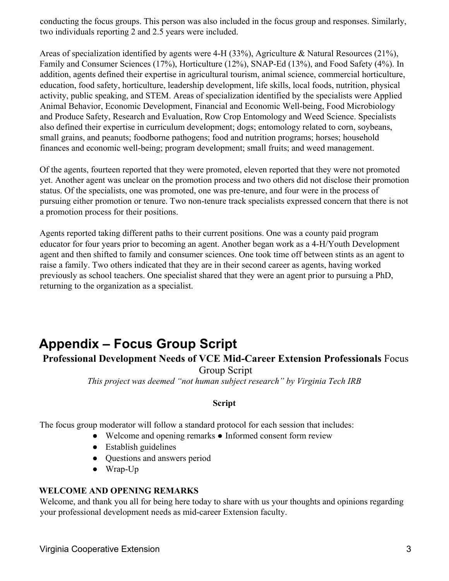conducting the focus groups. This person was also included in the focus group and responses. Similarly, two individuals reporting 2 and 2.5 years were included.

Areas of specialization identified by agents were 4-H (33%), Agriculture & Natural Resources (21%), Family and Consumer Sciences (17%), Horticulture (12%), SNAP-Ed (13%), and Food Safety (4%). In addition, agents defined their expertise in agricultural tourism, animal science, commercial horticulture, education, food safety, horticulture, leadership development, life skills, local foods, nutrition, physical activity, public speaking, and STEM. Areas of specialization identified by the specialists were Applied Animal Behavior, Economic Development, Financial and Economic Well-being, Food Microbiology and Produce Safety, Research and Evaluation, Row Crop Entomology and Weed Science. Specialists also defined their expertise in curriculum development; dogs; entomology related to corn, soybeans, small grains, and peanuts; foodborne pathogens; food and nutrition programs; horses; household finances and economic well-being; program development; small fruits; and weed management.

Of the agents, fourteen reported that they were promoted, eleven reported that they were not promoted yet. Another agent was unclear on the promotion process and two others did not disclose their promotion status. Of the specialists, one was promoted, one was pre-tenure, and four were in the process of pursuing either promotion or tenure. Two non-tenure track specialists expressed concern that there is not a promotion process for their positions.

Agents reported taking different paths to their current positions. One was a county paid program educator for four years prior to becoming an agent. Another began work as a 4-H/Youth Development agent and then shifted to family and consumer sciences. One took time off between stints as an agent to raise a family. Two others indicated that they are in their second career as agents, having worked previously as school teachers. One specialist shared that they were an agent prior to pursuing a PhD, returning to the organization as a specialist.

# **Appendix – Focus Group Script**

### **Professional Development Needs of VCE Mid-Career Extension Professionals** Focus

Group Script

*This project was deemed "not human subject research" by Virginia Tech IRB* 

#### **Script**

The focus group moderator will follow a standard protocol for each session that includes:

- Welcome and opening remarks Informed consent form review
- Establish guidelines
- Questions and answers period
- Wrap-Up

#### **WELCOME AND OPENING REMARKS**

Welcome, and thank you all for being here today to share with us your thoughts and opinions regarding your professional development needs as mid-career Extension faculty.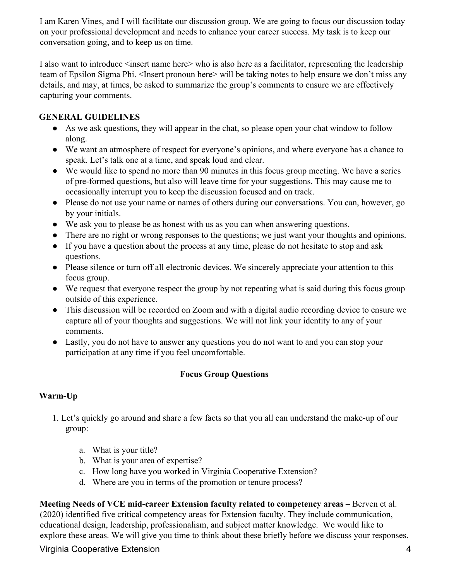I am Karen Vines, and I will facilitate our discussion group. We are going to focus our discussion today on your professional development and needs to enhance your career success. My task is to keep our conversation going, and to keep us on time.

I also want to introduce  $\leq$  insert name here $\geq$  who is also here as a facilitator, representing the leadership team of Epsilon Sigma Phi. <Insert pronoun here> will be taking notes to help ensure we don't miss any details, and may, at times, be asked to summarize the group's comments to ensure we are effectively capturing your comments.

#### **GENERAL GUIDELINES**

- As we ask questions, they will appear in the chat, so please open your chat window to follow along.
- We want an atmosphere of respect for everyone's opinions, and where everyone has a chance to speak. Let's talk one at a time, and speak loud and clear.
- We would like to spend no more than 90 minutes in this focus group meeting. We have a series of pre-formed questions, but also will leave time for your suggestions. This may cause me to occasionally interrupt you to keep the discussion focused and on track.
- Please do not use your name or names of others during our conversations. You can, however, go by your initials.
- We ask you to please be as honest with us as you can when answering questions.
- There are no right or wrong responses to the questions; we just want your thoughts and opinions.
- If you have a question about the process at any time, please do not hesitate to stop and ask questions.
- Please silence or turn off all electronic devices. We sincerely appreciate your attention to this focus group.
- We request that everyone respect the group by not repeating what is said during this focus group outside of this experience.
- This discussion will be recorded on Zoom and with a digital audio recording device to ensure we capture all of your thoughts and suggestions. We will not link your identity to any of your comments.
- Lastly, you do not have to answer any questions you do not want to and you can stop your participation at any time if you feel uncomfortable.

#### **Focus Group Questions**

#### **Warm-Up**

- 1. Let's quickly go around and share a few facts so that you all can understand the make-up of our group:
	- a. What is your title?
	- b. What is your area of expertise?
	- c. How long have you worked in Virginia Cooperative Extension?
	- d. Where are you in terms of the promotion or tenure process?

**Meeting Needs of VCE mid-career Extension faculty related to competency areas –** Berven et al. (2020) identified five critical competency areas for Extension faculty. They include communication, educational design, leadership, professionalism, and subject matter knowledge. We would like to explore these areas. We will give you time to think about these briefly before we discuss your responses.

Virginia Cooperative Extension 4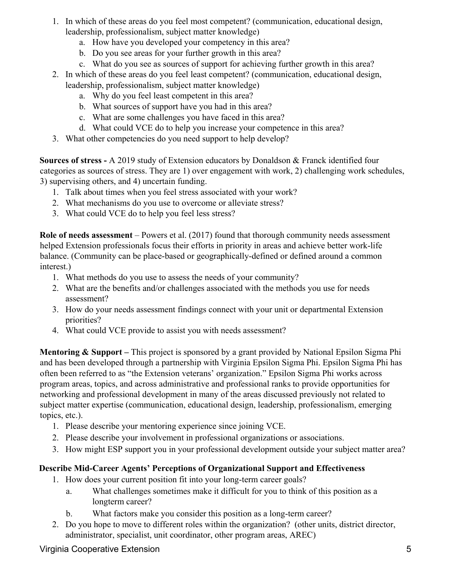- 1. In which of these areas do you feel most competent? (communication, educational design, leadership, professionalism, subject matter knowledge)
	- a. How have you developed your competency in this area?
	- b. Do you see areas for your further growth in this area?
	- c. What do you see as sources of support for achieving further growth in this area?
- 2. In which of these areas do you feel least competent? (communication, educational design, leadership, professionalism, subject matter knowledge)
	- a. Why do you feel least competent in this area?
	- b. What sources of support have you had in this area?
	- c. What are some challenges you have faced in this area?
	- d. What could VCE do to help you increase your competence in this area?
- 3. What other competencies do you need support to help develop?

**Sources of stress -** A 2019 study of Extension educators by Donaldson & Franck identified four categories as sources of stress. They are 1) over engagement with work, 2) challenging work schedules, 3) supervising others, and 4) uncertain funding.

- 1. Talk about times when you feel stress associated with your work?
- 2. What mechanisms do you use to overcome or alleviate stress?
- 3. What could VCE do to help you feel less stress?

**Role of needs assessment** – Powers et al. (2017) found that thorough community needs assessment helped Extension professionals focus their efforts in priority in areas and achieve better work-life balance. (Community can be place-based or geographically-defined or defined around a common interest.)

- 1. What methods do you use to assess the needs of your community?
- 2. What are the benefits and/or challenges associated with the methods you use for needs assessment?
- 3. How do your needs assessment findings connect with your unit or departmental Extension priorities?
- 4. What could VCE provide to assist you with needs assessment?

**Mentoring & Support –** This project is sponsored by a grant provided by National Epsilon Sigma Phi and has been developed through a partnership with Virginia Epsilon Sigma Phi. Epsilon Sigma Phi has often been referred to as "the Extension veterans' organization." Epsilon Sigma Phi works across program areas, topics, and across administrative and professional ranks to provide opportunities for networking and professional development in many of the areas discussed previously not related to subject matter expertise (communication, educational design, leadership, professionalism, emerging topics, etc.).

- 1. Please describe your mentoring experience since joining VCE.
- 2. Please describe your involvement in professional organizations or associations.
- 3. How might ESP support you in your professional development outside your subject matter area?

### **Describe Mid-Career Agents' Perceptions of Organizational Support and Effectiveness**

- 1. How does your current position fit into your long-term career goals?
	- a. What challenges sometimes make it difficult for you to think of this position as a longterm career?
	- b. What factors make you consider this position as a long-term career?
- 2. Do you hope to move to different roles within the organization? (other units, district director, administrator, specialist, unit coordinator, other program areas, AREC)

Virginia Cooperative Extension 5